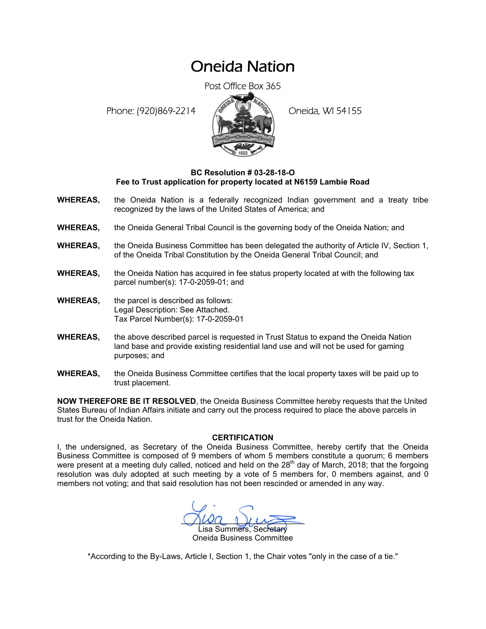## Oneida Nation

Post Office Box 365

Phone: (920)869-2214 (8 22 3) Oneida, WI 54155



## **BC Resolution # 03-28-18-O Fee to Trust application for property located at N6159 Lambie Road**

- **WHEREAS,** the Oneida Nation is a federally recognized Indian government and a treaty tribe recognized by the laws of the United States of America; and
- **WHEREAS,** the Oneida General Tribal Council is the governing body of the Oneida Nation; and
- **WHEREAS,** the Oneida Business Committee has been delegated the authority of Article IV, Section 1, of the Oneida Tribal Constitution by the Oneida General Tribal Council; and
- **WHEREAS,** the Oneida Nation has acquired in fee status property located at with the following tax parcel number(s): 17-0-2059-01; and
- **WHEREAS,** the parcel is described as follows: Legal Description: See Attached. Tax Parcel Number(s): 17-0-2059-01
- **WHEREAS,** the above described parcel is requested in Trust Status to expand the Oneida Nation land base and provide existing residential land use and will not be used for gaming purposes; and
- **WHEREAS,** the Oneida Business Committee certifies that the local property taxes will be paid up to trust placement.

**NOW THEREFORE BE IT RESOLVED**, the Oneida Business Committee hereby requests that the United States Bureau of Indian Affairs initiate and carry out the process required to place the above parcels in trust for the Oneida Nation.

## **CERTIFICATION**

I, the undersigned, as Secretary of the Oneida Business Committee, hereby certify that the Oneida Business Committee is composed of 9 members of whom 5 members constitute a quorum; 6 members were present at a meeting duly called, noticed and held on the  $28<sup>th</sup>$  day of March, 2018; that the forgoing resolution was duly adopted at such meeting by a vote of 5 members for, 0 members against, and 0 members not voting; and that said resolution has not been rescinded or amended in any way.

 $M^2$ isa Summers, Secretary Oneida Business Committee

\*According to the By-Laws, Article I, Section 1, the Chair votes "only in the case of a tie."